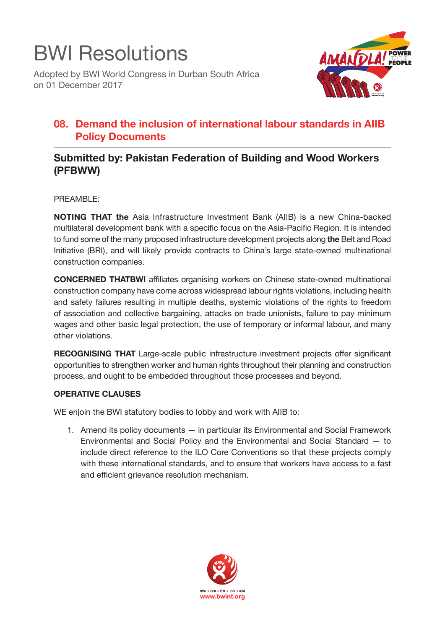

Adopted by BWI World Congress in Durban South Africa on 01 December 2017



## **08. Demand the inclusion of international labour standards in AIIB Policy Documents**

## **Submitted by: Pakistan Federation of Building and Wood Workers (PFBWW)**

PREAMBLE:

**NOTING THAT the** Asia Infrastructure Investment Bank (AIIB) is a new China-backed multilateral development bank with a specific focus on the Asia-Pacific Region. It is intended to fund some of the many proposed infrastructure development projects along **the** Belt and Road Initiative (BRI), and will likely provide contracts to China's large state-owned multinational construction companies.

**CONCERNED THATBWI** affiliates organising workers on Chinese state-owned multinational construction company have come across widespread labour rights violations, including health and safety failures resulting in multiple deaths, systemic violations of the rights to freedom of association and collective bargaining, attacks on trade unionists, failure to pay minimum wages and other basic legal protection, the use of temporary or informal labour, and many other violations.

**RECOGNISING THAT** Large-scale public infrastructure investment projects offer significant opportunities to strengthen worker and human rights throughout their planning and construction process, and ought to be embedded throughout those processes and beyond.

## **OPERATIVE CLAUSES**

WE enjoin the BWI statutory bodies to lobby and work with AIIB to:

1. Amend its policy documents — in particular its Environmental and Social Framework Environmental and Social Policy and the Environmental and Social Standard — to include direct reference to the ILO Core Conventions so that these projects comply with these international standards, and to ensure that workers have access to a fast and efficient grievance resolution mechanism.